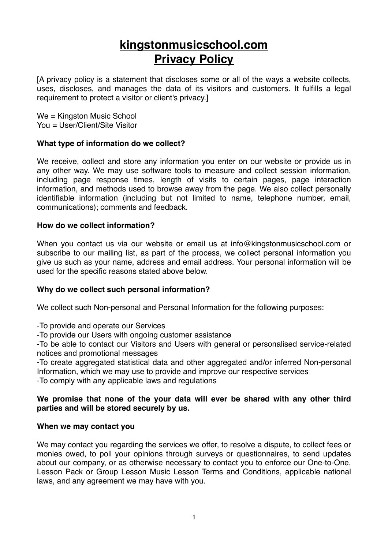# **kingstonmusicschool.com Privacy Policy**

[A privacy policy is a statement that discloses some or all of the ways a website collects, uses, discloses, and manages the data of its visitors and customers. It fulfills a legal requirement to protect a visitor or client's privacy.]

We = Kingston Music School You = User/Client/Site Visitor

### **What type of information do we collect?**

We receive, collect and store any information you enter on our website or provide us in any other way. We may use software tools to measure and collect session information, including page response times, length of visits to certain pages, page interaction information, and methods used to browse away from the page. We also collect personally identifiable information (including but not limited to name, telephone number, email, communications); comments and feedback.

#### **How do we collect information?**

When you contact us via our website or email us at info@kingstonmusicschool.com or subscribe to our mailing list, as part of the process, we collect personal information you give us such as your name, address and email address. Your personal information will be used for the specific reasons stated above below.

#### **Why do we collect such personal information?**

We collect such Non-personal and Personal Information for the following purposes:

-To provide and operate our Services

-To provide our Users with ongoing customer assistance

-To be able to contact our Visitors and Users with general or personalised service-related notices and promotional messages

-To create aggregated statistical data and other aggregated and/or inferred Non-personal Information, which we may use to provide and improve our respective services -To comply with any applicable laws and regulations

#### **We promise that none of the your data will ever be shared with any other third parties and will be stored securely by us.**

#### **When we may contact you**

We may contact you regarding the services we offer, to resolve a dispute, to collect fees or monies owed, to poll your opinions through surveys or questionnaires, to send updates about our company, or as otherwise necessary to contact you to enforce our One-to-One, Lesson Pack or Group Lesson Music Lesson Terms and Conditions, applicable national laws, and any agreement we may have with you.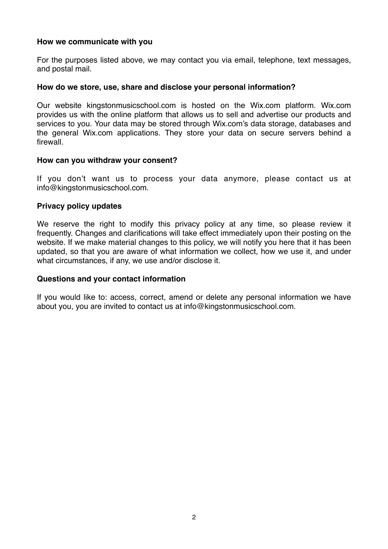#### **How we communicate with you**

For the purposes listed above, we may contact you via email, telephone, text messages, and postal mail.

#### **How do we store, use, share and disclose your personal information?**

Our website kingstonmusicschool.com is hosted on the Wix.com platform. Wix.com provides us with the online platform that allows us to sell and advertise our products and services to you. Your data may be stored through Wix.com's data storage, databases and the general Wix.com applications. They store your data on secure servers behind a firewall.

#### **How can you withdraw your consent?**

If you don't want us to process your data anymore, please contact us at info@kingstonmusicschool.com.

#### **Privacy policy updates**

We reserve the right to modify this privacy policy at any time, so please review it frequently. Changes and clarifications will take effect immediately upon their posting on the website. If we make material changes to this policy, we will notify you here that it has been updated, so that you are aware of what information we collect, how we use it, and under what circumstances, if any, we use and/or disclose it.

#### **Questions and your contact information**

If you would like to: access, correct, amend or delete any personal information we have about you, you are invited to contact us at info@kingstonmusicschool.com.